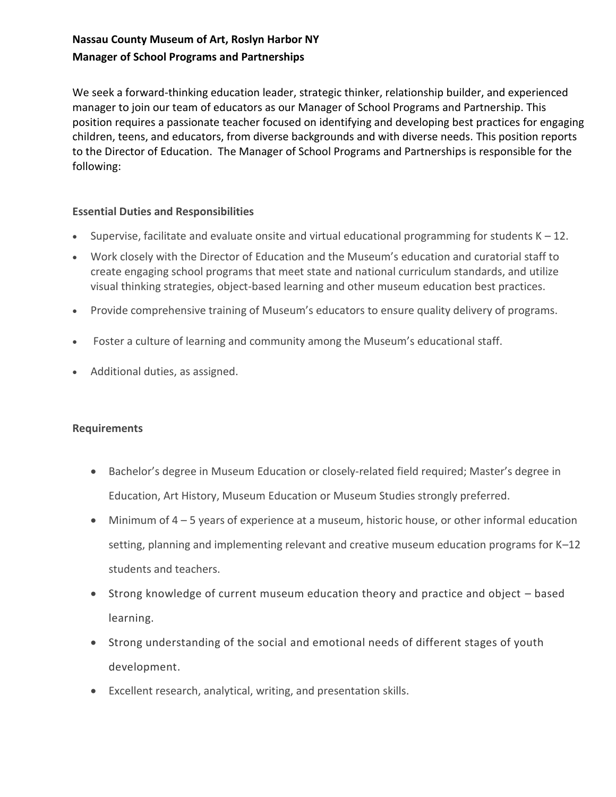## **Nassau County Museum of Art, Roslyn Harbor NY Manager of School Programs and Partnerships**

We seek a forward-thinking education leader, strategic thinker, relationship builder, and experienced manager to join our team of educators as our Manager of School Programs and Partnership. This position requires a passionate teacher focused on identifying and developing best practices for engaging children, teens, and educators, from diverse backgrounds and with diverse needs. This position reports to the Director of Education. The Manager of School Programs and Partnerships is responsible for the following:

## **Essential Duties and Responsibilities**

- Supervise, facilitate and evaluate onsite and virtual educational programming for students  $K 12$ .
- Work closely with the Director of Education and the Museum's education and curatorial staff to create engaging school programs that meet state and national curriculum standards, and utilize visual thinking strategies, object-based learning and other museum education best practices.
- Provide comprehensive training of Museum's educators to ensure quality delivery of programs.
- Foster a culture of learning and community among the Museum's educational staff.
- Additional duties, as assigned.

## **Requirements**

- Bachelor's degree in Museum Education or closely-related field required; Master's degree in Education, Art History, Museum Education or Museum Studies strongly preferred.
- Minimum of 4 5 years of experience at a museum, historic house, or other informal education setting, planning and implementing relevant and creative museum education programs for K–12 students and teachers.
- Strong knowledge of current museum education theory and practice and object based learning.
- Strong understanding of the social and emotional needs of different stages of youth development.
- Excellent research, analytical, writing, and presentation skills.